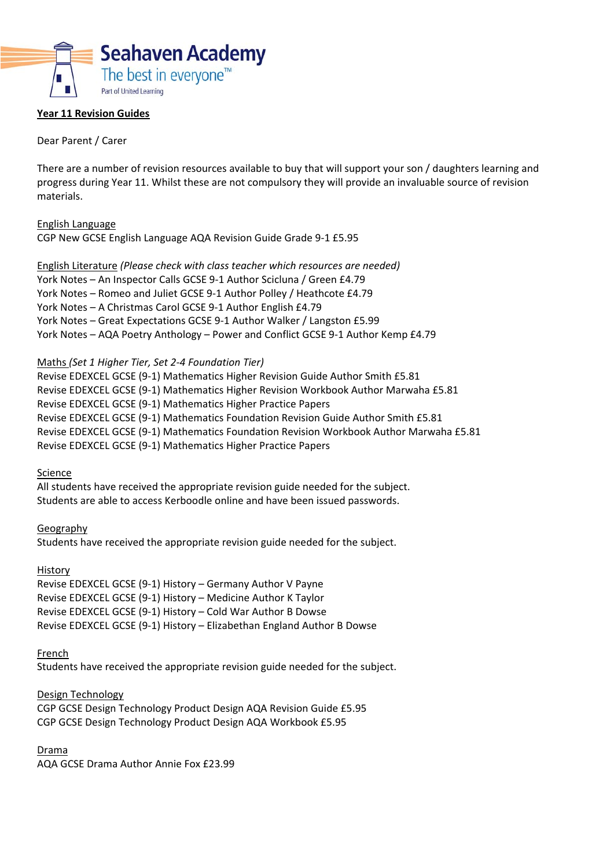

## **Year 11 Revision Guides**

#### Dear Parent / Carer

There are a number of revision resources available to buy that will support your son / daughters learning and progress during Year 11. Whilst these are not compulsory they will provide an invaluable source of revision materials.

English Language CGP New GCSE English Language AQA Revision Guide Grade 9‐1 £5.95

English Literature *(Please check with class teacher which resources are needed)*  York Notes – An Inspector Calls GCSE 9‐1 Author Scicluna / Green £4.79 York Notes – Romeo and Juliet GCSE 9‐1 Author Polley / Heathcote £4.79 York Notes – A Christmas Carol GCSE 9‐1 Author English £4.79 York Notes – Great Expectations GCSE 9‐1 Author Walker / Langston £5.99 York Notes – AQA Poetry Anthology – Power and Conflict GCSE 9‐1 Author Kemp £4.79

Maths *(Set 1 Higher Tier, Set 2‐4 Foundation Tier)* 

Revise EDEXCEL GCSE (9‐1) Mathematics Higher Revision Guide Author Smith £5.81 Revise EDEXCEL GCSE (9‐1) Mathematics Higher Revision Workbook Author Marwaha £5.81 Revise EDEXCEL GCSE (9‐1) Mathematics Higher Practice Papers Revise EDEXCEL GCSE (9‐1) Mathematics Foundation Revision Guide Author Smith £5.81 Revise EDEXCEL GCSE (9‐1) Mathematics Foundation Revision Workbook Author Marwaha £5.81 Revise EDEXCEL GCSE (9‐1) Mathematics Higher Practice Papers

Science

All students have received the appropriate revision guide needed for the subject. Students are able to access Kerboodle online and have been issued passwords.

Geography Students have received the appropriate revision guide needed for the subject.

History

Revise EDEXCEL GCSE (9‐1) History – Germany Author V Payne Revise EDEXCEL GCSE (9‐1) History – Medicine Author K Taylor Revise EDEXCEL GCSE (9‐1) History – Cold War Author B Dowse Revise EDEXCEL GCSE (9‐1) History – Elizabethan England Author B Dowse

French

Students have received the appropriate revision guide needed for the subject.

Design Technology CGP GCSE Design Technology Product Design AQA Revision Guide £5.95 CGP GCSE Design Technology Product Design AQA Workbook £5.95

Drama

AQA GCSE Drama Author Annie Fox £23.99